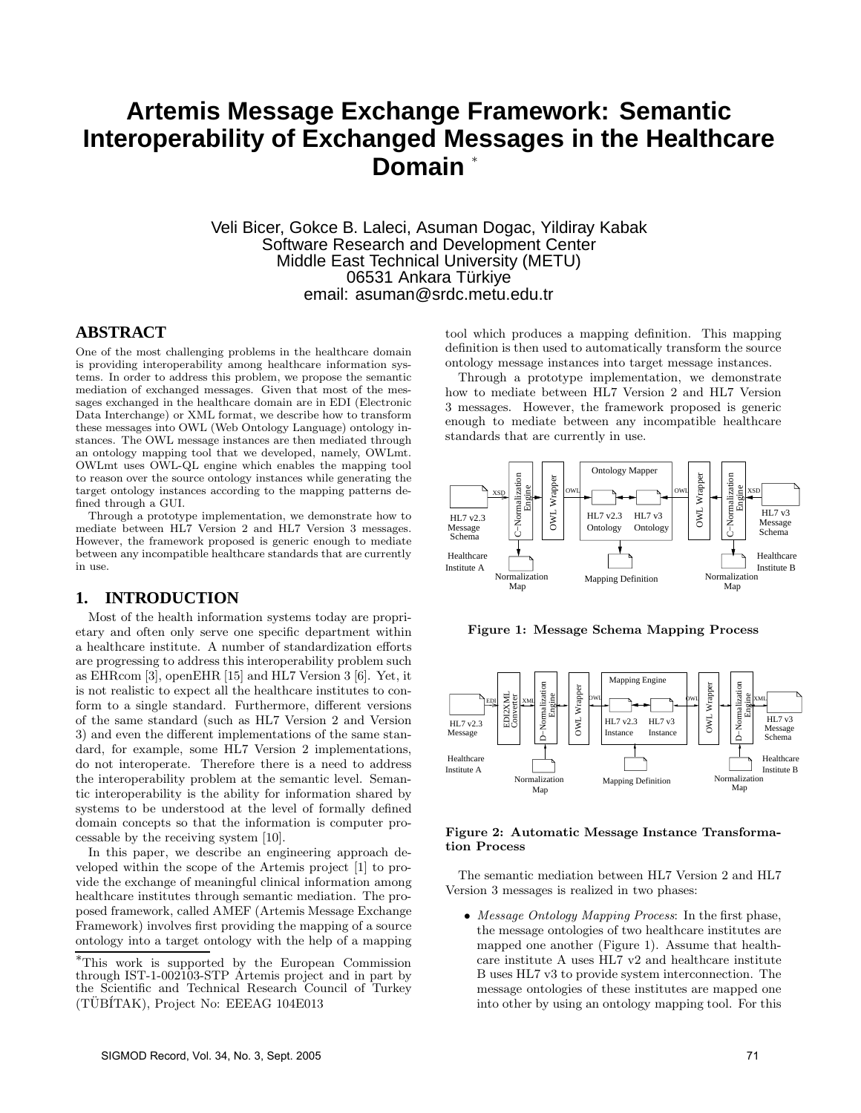# **Artemis Message Exchange Framework: Semantic Interoperability of Exchanged Messages in the Healthcare** Domain

Veli Bicer, Gokce B. Laleci, Asuman Dogac, Yildiray Kabak Software Research and Development Center Middle East Technical University (METU) 06531 Ankara Türkiye email: asuman@srdc.metu.edu.tr

# **ABSTRACT**

One of the most challenging problems in the healthcare domain is providing interoperability among healthcare information systems. In order to address this problem, we propose the semantic mediation of exchanged messages. Given that most of the messages exchanged in the healthcare domain are in EDI (Electronic Data Interchange) or XML format, we describe how to transform these messages into OWL (Web Ontology Language) ontology instances. The OWL message instances are then mediated through an ontology mapping tool that we developed, namely, OWLmt. OWLmt uses OWL-QL engine which enables the mapping tool to reason over the source ontology instances while generating the target ontology instances according to the mapping patterns defined through a GUI.

Through a prototype implementation, we demonstrate how to mediate between HL7 Version 2 and HL7 Version 3 messages. However, the framework proposed is generic enough to mediate between any incompatible healthcare standards that are currently in use.

# **1. INTRODUCTION**

Most of the health information systems today are proprietary and often only serve one specific department within a healthcare institute. A number of standardization efforts are progressing to address this interoperability problem such as EHRcom [3], openEHR [15] and HL7 Version 3 [6]. Yet, it is not realistic to expect all the healthcare institutes to conform to a single standard. Furthermore, different versions of the same standard (such as HL7 Version 2 and Version 3) and even the different implementations of the same standard, for example, some HL7 Version 2 implementations, do not interoperate. Therefore there is a need to address the interoperability problem at the semantic level. Semantic interoperability is the ability for information shared by systems to be understood at the level of formally defined domain concepts so that the information is computer processable by the receiving system [10].

In this paper, we describe an engineering approach developed within the scope of the Artemis project [1] to provide the exchange of meaningful clinical information among healthcare institutes through semantic mediation. The proposed framework, called AMEF (Artemis Message Exchange Framework) involves first providing the mapping of a source ontology into a target ontology with the help of a mapping tool which produces a mapping definition. This mapping definition is then used to automatically transform the source ontology message instances into target message instances.

Through a prototype implementation, we demonstrate how to mediate between HL7 Version 2 and HL7 Version 3 messages. However, the framework proposed is generic enough to mediate between any incompatible healthcare standards that are currently in use.



**Figure 1: Message Schema Mapping Process**



#### **Figure 2: Automatic Message Instance Transformation Process**

The semantic mediation between HL7 Version 2 and HL7 Version 3 messages is realized in two phases:

• *Message Ontology Mapping Process*: In the first phase, the message ontologies of two healthcare institutes are mapped one another (Figure 1). Assume that healthcare institute A uses HL7 v2 and healthcare institute B uses HL7 v3 to provide system interconnection. The message ontologies of these institutes are mapped one into other by using an ontology mapping tool. For this

<sup>∗</sup>This work is supported by the European Commission through IST-1-002103-STP Artemis project and in part by the Scientific and Technical Research Council of Turkey (TUBITAK), Project No: EEEAG 104E013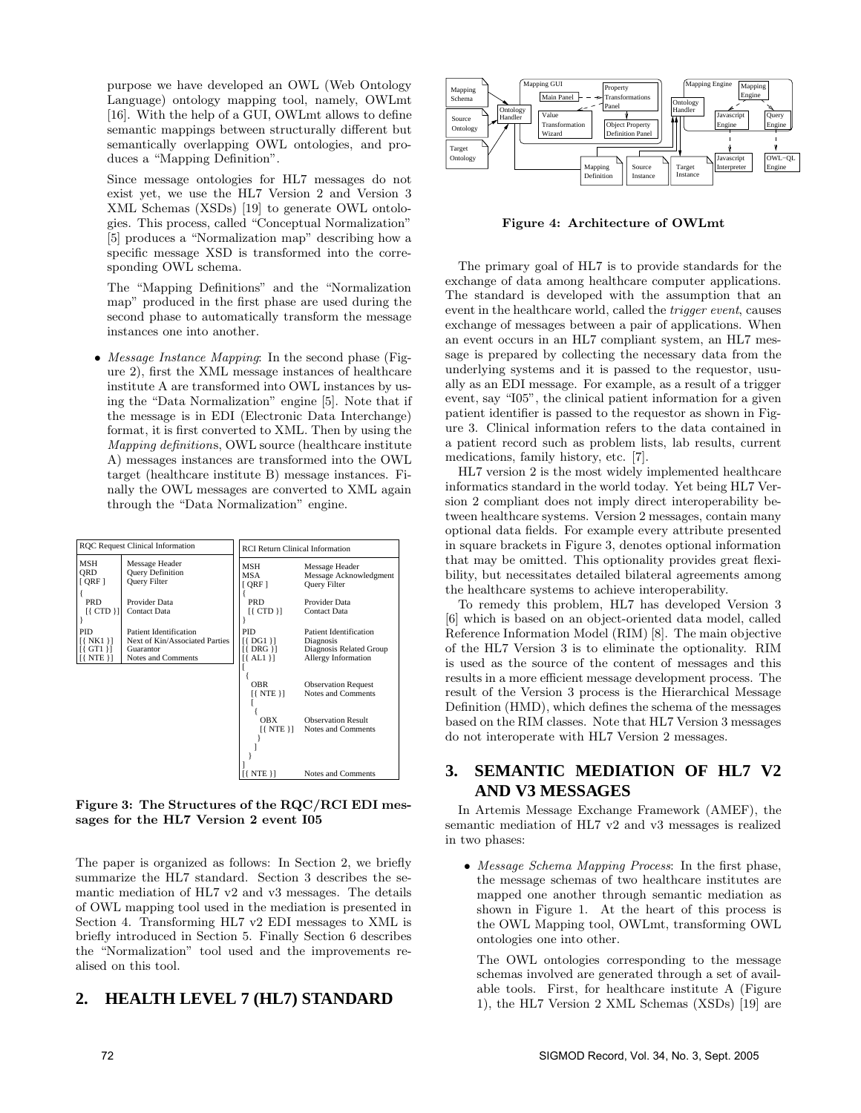purpose we have developed an OWL (Web Ontology Language) ontology mapping tool, namely, OWLmt [16]. With the help of a GUI, OWLmt allows to define semantic mappings between structurally different but semantically overlapping OWL ontologies, and produces a "Mapping Definition".

Since message ontologies for HL7 messages do not exist yet, we use the HL7 Version 2 and Version 3 XML Schemas (XSDs) [19] to generate OWL ontologies. This process, called "Conceptual Normalization" [5] produces a "Normalization map" describing how a specific message XSD is transformed into the corresponding OWL schema.

The "Mapping Definitions" and the "Normalization map" produced in the first phase are used during the second phase to automatically transform the message instances one into another.

• *Message Instance Mapping*: In the second phase (Figure 2), first the XML message instances of healthcare institute A are transformed into OWL instances by using the "Data Normalization" engine [5]. Note that if the message is in EDI (Electronic Data Interchange) format, it is first converted to XML. Then by using the *Mapping definition*s, OWL source (healthcare institute A) messages instances are transformed into the OWL target (healthcare institute B) message instances. Finally the OWL messages are converted to XML again through the "Data Normalization" engine.

| <b>ROC</b> Request Clinical Information |                                                                  | <b>RCI Return Clinical Information</b> |                                                                 |
|-----------------------------------------|------------------------------------------------------------------|----------------------------------------|-----------------------------------------------------------------|
| <b>MSH</b><br><b>ORD</b><br>[QRF]       | Message Header<br><b>Query Definition</b><br><b>Query Filter</b> | MSH<br>MSA<br>[ORF]                    | Message Header<br>Message Acknowledgment<br><b>Query Filter</b> |
| <b>PRD</b><br>$[$ (CTD $]$ ]            | Provider Data<br><b>Contact Data</b>                             | <b>PRD</b><br>$[$ (CTD $]$ )           | Provider Data<br><b>Contact Data</b>                            |
| <b>PID</b>                              | <b>Patient Identification</b>                                    | <b>PID</b>                             | <b>Patient Identification</b>                                   |
| $[$ $\{$ NK1 $\}$ ]                     | Next of Kin/Associated Parties                                   | $[$ DG1 $]$                            | Diagnosis                                                       |
| $[$ GT1 $]$                             | Guarantor                                                        | $[$ DRG $]$                            | Diagnosis Related Group                                         |
| $[$ { NTE }]                            | Notes and Comments                                               | $[$ {AL1}]                             | Allergy Information                                             |
|                                         |                                                                  | <b>OBR</b>                             | <b>Observation Request</b>                                      |
|                                         |                                                                  | $[$ { NTE }]                           | Notes and Comments                                              |
|                                         |                                                                  | <b>OBX</b>                             | <b>Observation Result</b>                                       |
|                                         |                                                                  | $[$ NTE $]$                            | Notes and Comments                                              |
|                                         |                                                                  | NTE }}                                 | Notes and Comments                                              |

**Figure 3: The Structures of the RQC/RCI EDI messages for the HL7 Version 2 event I05**

The paper is organized as follows: In Section 2, we briefly summarize the HL7 standard. Section 3 describes the semantic mediation of HL7 v2 and v3 messages. The details of OWL mapping tool used in the mediation is presented in Section 4. Transforming HL7 v2 EDI messages to XML is briefly introduced in Section 5. Finally Section 6 describes the "Normalization" tool used and the improvements realised on this tool.

# **2. HEALTH LEVEL 7 (HL7) STANDARD**



**Figure 4: Architecture of OWLmt**

The primary goal of HL7 is to provide standards for the exchange of data among healthcare computer applications. The standard is developed with the assumption that an event in the healthcare world, called the *trigger event*, causes exchange of messages between a pair of applications. When an event occurs in an HL7 compliant system, an HL7 message is prepared by collecting the necessary data from the underlying systems and it is passed to the requestor, usually as an EDI message. For example, as a result of a trigger event, say "I05", the clinical patient information for a given patient identifier is passed to the requestor as shown in Figure 3. Clinical information refers to the data contained in a patient record such as problem lists, lab results, current medications, family history, etc. [7].

HL7 version 2 is the most widely implemented healthcare informatics standard in the world today. Yet being HL7 Version 2 compliant does not imply direct interoperability between healthcare systems. Version 2 messages, contain many optional data fields. For example every attribute presented in square brackets in Figure 3, denotes optional information that may be omitted. This optionality provides great flexibility, but necessitates detailed bilateral agreements among the healthcare systems to achieve interoperability.

To remedy this problem, HL7 has developed Version 3 [6] which is based on an object-oriented data model, called Reference Information Model (RIM) [8]. The main objective of the HL7 Version 3 is to eliminate the optionality. RIM is used as the source of the content of messages and this results in a more efficient message development process. The result of the Version 3 process is the Hierarchical Message Definition (HMD), which defines the schema of the messages based on the RIM classes. Note that HL7 Version 3 messages do not interoperate with HL7 Version 2 messages.

# **3. SEMANTIC MEDIATION OF HL7 V2 AND V3 MESSAGES**

In Artemis Message Exchange Framework (AMEF), the semantic mediation of HL7 v2 and v3 messages is realized in two phases:

• *Message Schema Mapping Process*: In the first phase, the message schemas of two healthcare institutes are mapped one another through semantic mediation as shown in Figure 1. At the heart of this process is the OWL Mapping tool, OWLmt, transforming OWL ontologies one into other.

The OWL ontologies corresponding to the message schemas involved are generated through a set of available tools. First, for healthcare institute A (Figure 1), the HL7 Version 2 XML Schemas (XSDs) [19] are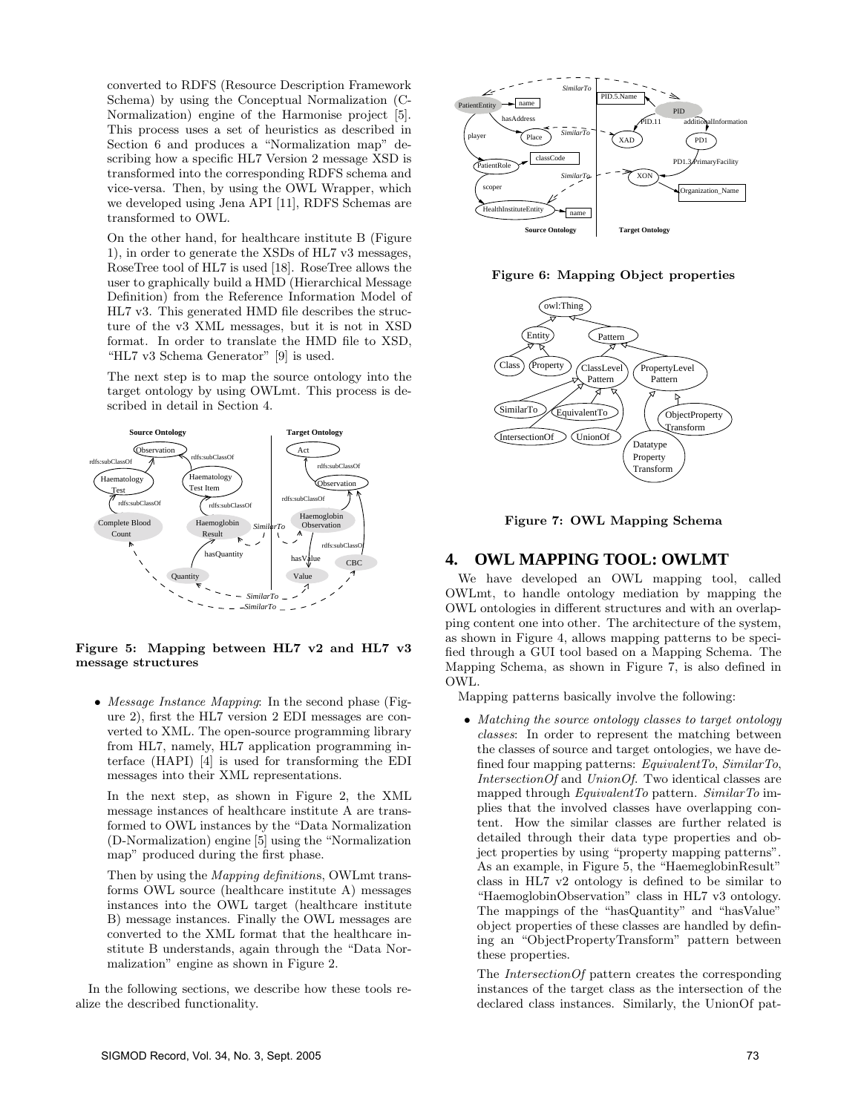converted to RDFS (Resource Description Framework Schema) by using the Conceptual Normalization (C-Normalization) engine of the Harmonise project [5]. This process uses a set of heuristics as described in Section 6 and produces a "Normalization map" describing how a specific HL7 Version 2 message XSD is transformed into the corresponding RDFS schema and vice-versa. Then, by using the OWL Wrapper, which we developed using Jena API [11], RDFS Schemas are transformed to OWL.

On the other hand, for healthcare institute B (Figure 1), in order to generate the XSDs of HL7 v3 messages, RoseTree tool of HL7 is used [18]. RoseTree allows the user to graphically build a HMD (Hierarchical Message Definition) from the Reference Information Model of HL7 v3. This generated HMD file describes the structure of the v3 XML messages, but it is not in XSD format. In order to translate the HMD file to XSD, "HL7 v3 Schema Generator" [9] is used.

The next step is to map the source ontology into the target ontology by using OWLmt. This process is described in detail in Section 4.



#### **Figure 5: Mapping between HL7 v2 and HL7 v3 message structures**

• *Message Instance Mapping*: In the second phase (Figure 2), first the HL7 version 2 EDI messages are converted to XML. The open-source programming library from HL7, namely, HL7 application programming interface (HAPI) [4] is used for transforming the EDI messages into their XML representations.

In the next step, as shown in Figure 2, the XML message instances of healthcare institute A are transformed to OWL instances by the "Data Normalization (D-Normalization) engine [5] using the "Normalization map" produced during the first phase.

Then by using the *Mapping definition*s, OWLmt transforms OWL source (healthcare institute A) messages instances into the OWL target (healthcare institute B) message instances. Finally the OWL messages are converted to the XML format that the healthcare institute B understands, again through the "Data Normalization" engine as shown in Figure 2.

In the following sections, we describe how these tools realize the described functionality.



**Figure 6: Mapping Object properties**



**Figure 7: OWL Mapping Schema**

### **4. OWL MAPPING TOOL: OWLMT**

We have developed an OWL mapping tool, called OWLmt, to handle ontology mediation by mapping the OWL ontologies in different structures and with an overlapping content one into other. The architecture of the system, as shown in Figure 4, allows mapping patterns to be specified through a GUI tool based on a Mapping Schema. The Mapping Schema, as shown in Figure 7, is also defined in OWL.

Mapping patterns basically involve the following:

• *Matching the source ontology classes to target ontology classes*: In order to represent the matching between the classes of source and target ontologies, we have defined four mapping patterns: *EquivalentTo*, *SimilarTo*, *IntersectionOf* and *UnionOf*. Two identical classes are mapped through *EquivalentTo* pattern. *SimilarTo* implies that the involved classes have overlapping content. How the similar classes are further related is detailed through their data type properties and object properties by using "property mapping patterns". As an example, in Figure 5, the "HaemeglobinResult" class in HL7 v2 ontology is defined to be similar to "HaemoglobinObservation" class in HL7 v3 ontology. The mappings of the "hasQuantity" and "hasValue" object properties of these classes are handled by defining an "ObjectPropertyTransform" pattern between these properties.

The *IntersectionOf* pattern creates the corresponding instances of the target class as the intersection of the declared class instances. Similarly, the UnionOf pat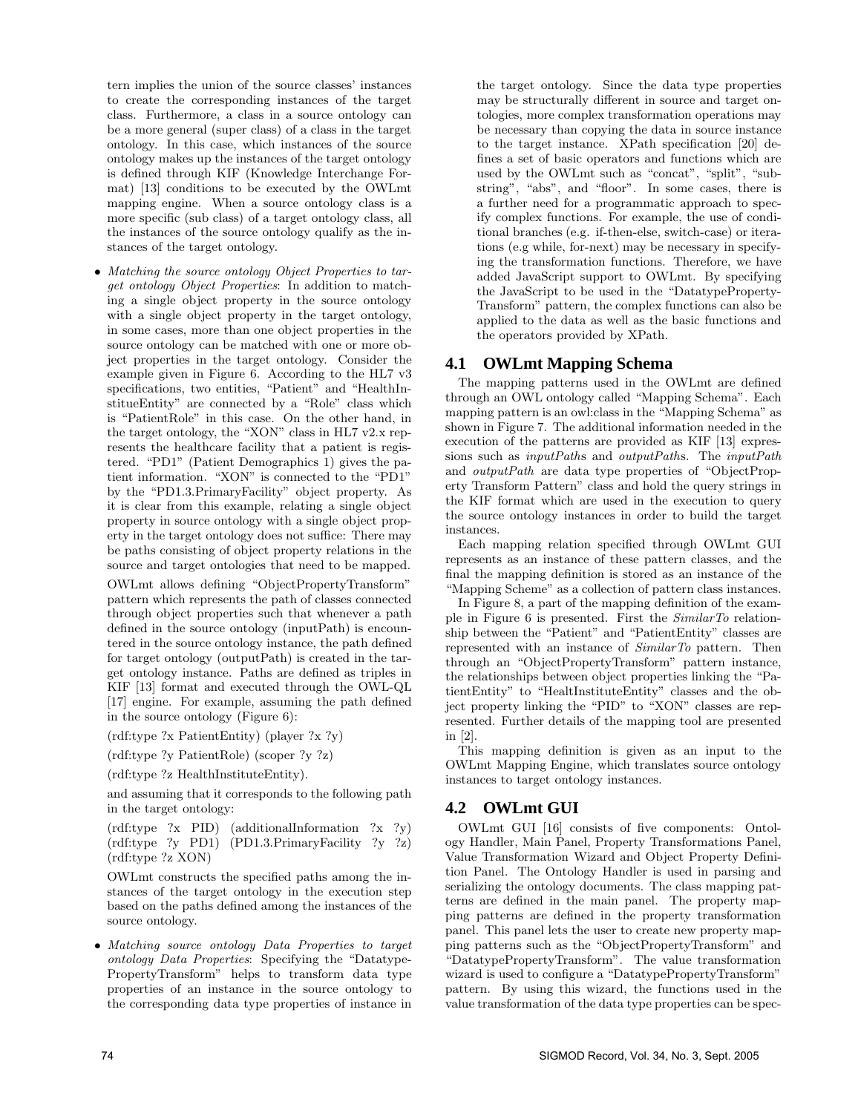tern implies the union of the source classes' instances to create the corresponding instances of the target class. Furthermore, a class in a source ontology can be a more general (super class) of a class in the target ontology. In this case, which instances of the source ontology makes up the instances of the target ontology is defined through KIF (Knowledge Interchange Format) [13] conditions to be executed by the OWLmt mapping engine. When a source ontology class is a more specific (sub class) of a target ontology class, all the instances of the source ontology qualify as the instances of the target ontology.

• *Matching the source ontology Object Properties to target ontology Object Properties*: In addition to matching a single object property in the source ontology with a single object property in the target ontology, in some cases, more than one object properties in the source ontology can be matched with one or more object properties in the target ontology. Consider the example given in Figure 6. According to the HL7 v3 specifications, two entities, "Patient" and "HealthInstitueEntity" are connected by a "Role" class which is "PatientRole" in this case. On the other hand, in the target ontology, the "XON" class in HL7 v2.x represents the healthcare facility that a patient is registered. "PD1" (Patient Demographics 1) gives the patient information. "XON" is connected to the "PD1" by the "PD1.3.PrimaryFacility" object property. As it is clear from this example, relating a single object property in source ontology with a single object property in the target ontology does not suffice: There may be paths consisting of object property relations in the source and target ontologies that need to be mapped.

OWLmt allows defining "ObjectPropertyTransform" pattern which represents the path of classes connected through object properties such that whenever a path defined in the source ontology (inputPath) is encountered in the source ontology instance, the path defined for target ontology (outputPath) is created in the target ontology instance. Paths are defined as triples in KIF [13] format and executed through the OWL-QL [17] engine. For example, assuming the path defined in the source ontology (Figure 6):

- (rdf:type ?x PatientEntity) (player ?x ?y)
- (rdf:type ?y PatientRole) (scoper ?y ?z)
- (rdf:type ?z HealthInstituteEntity).

and assuming that it corresponds to the following path in the target ontology:

(rdf:type ?x PID) (additionalInformation ?x ?y) (rdf:type ?y PD1) (PD1.3.PrimaryFacility ?y ?z) (rdf:type ?z XON)

OWLmt constructs the specified paths among the instances of the target ontology in the execution step based on the paths defined among the instances of the source ontology.

• *Matching source ontology Data Properties to target ontology Data Properties*: Specifying the "Datatype-PropertyTransform" helps to transform data type properties of an instance in the source ontology to the corresponding data type properties of instance in

the target ontology. Since the data type properties may be structurally different in source and target ontologies, more complex transformation operations may be necessary than copying the data in source instance to the target instance. XPath specification [20] defines a set of basic operators and functions which are used by the OWLmt such as "concat", "split", "substring", "abs", and "floor". In some cases, there is a further need for a programmatic approach to specify complex functions. For example, the use of conditional branches (e.g. if-then-else, switch-case) or iterations (e.g while, for-next) may be necessary in specifying the transformation functions. Therefore, we have added JavaScript support to OWLmt. By specifying the JavaScript to be used in the "DatatypeProperty-Transform" pattern, the complex functions can also be applied to the data as well as the basic functions and the operators provided by XPath.

# **4.1 OWLmt Mapping Schema**

The mapping patterns used in the OWLmt are defined through an OWL ontology called "Mapping Schema". Each mapping pattern is an owl:class in the "Mapping Schema" as shown in Figure 7. The additional information needed in the execution of the patterns are provided as KIF [13] expressions such as *inputPath*s and *outputPath*s. The *inputPath* and *outputPath* are data type properties of "ObjectProperty Transform Pattern" class and hold the query strings in the KIF format which are used in the execution to query the source ontology instances in order to build the target instances.

Each mapping relation specified through OWLmt GUI represents as an instance of these pattern classes, and the final the mapping definition is stored as an instance of the "Mapping Scheme" as a collection of pattern class instances.

In Figure 8, a part of the mapping definition of the example in Figure 6 is presented. First the *SimilarTo* relationship between the "Patient" and "PatientEntity" classes are represented with an instance of *SimilarTo* pattern. Then through an "ObjectPropertyTransform" pattern instance, the relationships between object properties linking the "PatientEntity" to "HealtInstituteEntity" classes and the object property linking the "PID" to "XON" classes are represented. Further details of the mapping tool are presented in [2].

This mapping definition is given as an input to the OWLmt Mapping Engine, which translates source ontology instances to target ontology instances.

# **4.2 OWLmt GUI**

OWLmt GUI [16] consists of five components: Ontology Handler, Main Panel, Property Transformations Panel, Value Transformation Wizard and Object Property Definition Panel. The Ontology Handler is used in parsing and serializing the ontology documents. The class mapping patterns are defined in the main panel. The property mapping patterns are defined in the property transformation panel. This panel lets the user to create new property mapping patterns such as the "ObjectPropertyTransform" and "DatatypePropertyTransform". The value transformation wizard is used to configure a "DatatypePropertyTransform" pattern. By using this wizard, the functions used in the value transformation of the data type properties can be spec-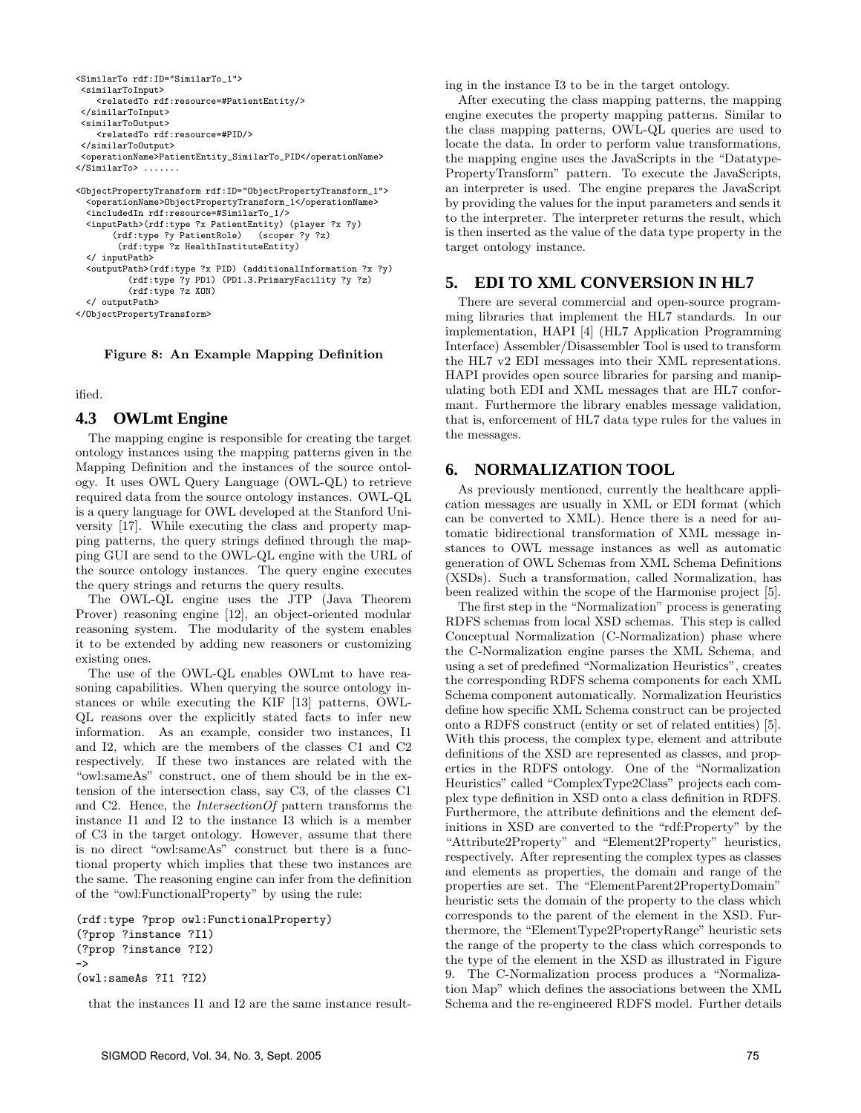```
<SimilarTo rdf:ID="SimilarTo_1">
 <similarToInput>
    <relatedTo rdf:resource=#PatientEntity/>
 </similarToInput>
 <similarToOutput>
    <relatedTo rdf:resource=#PID/>
 </similarToOutput>
 <operationName>PatientEntity_SimilarTo_PID</operationName>
</SimilarTo> .......
<ObjectPropertyTransform rdf:ID="ObjectPropertyTransform_1">
```

```
<operationName>ObjectPropertyTransform_1</operationName>
  <includedIn rdf:resource=#SimilarTo_1/>
  <inputPath>(rdf:type ?x PatientEntity) (player ?x ?y)
       (rdf:type ?y PatientRole) (scoper ?y ?z)
        (rdf:type ?z HealthInstituteEntity)
  </ inputPath>
  <outputPath>(rdf:type ?x PID) (additionalInformation ?x ?y)
          (rdf:type ?y PD1) (PD1.3.PrimaryFacility ?y ?z)
          (rdf:type ?z XON)
  </ outputPath>
</ObjectPropertyTransform>
```
**Figure 8: An Example Mapping Definition**

ified.

#### **4.3 OWLmt Engine**

The mapping engine is responsible for creating the target ontology instances using the mapping patterns given in the Mapping Definition and the instances of the source ontology. It uses OWL Query Language (OWL-QL) to retrieve required data from the source ontology instances. OWL-QL is a query language for OWL developed at the Stanford University [17]. While executing the class and property mapping patterns, the query strings defined through the mapping GUI are send to the OWL-QL engine with the URL of the source ontology instances. The query engine executes the query strings and returns the query results.

The OWL-QL engine uses the JTP (Java Theorem Prover) reasoning engine [12], an object-oriented modular reasoning system. The modularity of the system enables it to be extended by adding new reasoners or customizing existing ones.

The use of the OWL-QL enables OWLmt to have reasoning capabilities. When querying the source ontology instances or while executing the KIF [13] patterns, OWL-QL reasons over the explicitly stated facts to infer new information. As an example, consider two instances, I1 and I2, which are the members of the classes C1 and C2 respectively. If these two instances are related with the "owl:sameAs" construct, one of them should be in the extension of the intersection class, say C3, of the classes C1 and C2. Hence, the *IntersectionOf* pattern transforms the instance I1 and I2 to the instance I3 which is a member of C3 in the target ontology. However, assume that there is no direct "owl:sameAs" construct but there is a functional property which implies that these two instances are the same. The reasoning engine can infer from the definition of the "owl:FunctionalProperty" by using the rule:

```
(rdf:type ?prop owl:FunctionalProperty)
(?prop ?instance ?I1)
(?prop ?instance ?I2)
\rightarrow(owl:sameAs ?I1 ?I2)
```
that the instances I1 and I2 are the same instance result-

ing in the instance I3 to be in the target ontology.

After executing the class mapping patterns, the mapping engine executes the property mapping patterns. Similar to the class mapping patterns, OWL-QL queries are used to locate the data. In order to perform value transformations, the mapping engine uses the JavaScripts in the "Datatype-PropertyTransform" pattern. To execute the JavaScripts, an interpreter is used. The engine prepares the JavaScript by providing the values for the input parameters and sends it to the interpreter. The interpreter returns the result, which is then inserted as the value of the data type property in the target ontology instance.

#### **5. EDI TO XML CONVERSION IN HL7**

There are several commercial and open-source programming libraries that implement the HL7 standards. In our implementation, HAPI [4] (HL7 Application Programming Interface) Assembler/Disassembler Tool is used to transform the HL7 v2 EDI messages into their XML representations. HAPI provides open source libraries for parsing and manipulating both EDI and XML messages that are HL7 conformant. Furthermore the library enables message validation, that is, enforcement of HL7 data type rules for the values in the messages.

### **6. NORMALIZATION TOOL**

As previously mentioned, currently the healthcare application messages are usually in XML or EDI format (which can be converted to XML). Hence there is a need for automatic bidirectional transformation of XML message instances to OWL message instances as well as automatic generation of OWL Schemas from XML Schema Definitions (XSDs). Such a transformation, called Normalization, has been realized within the scope of the Harmonise project [5].

The first step in the "Normalization" process is generating RDFS schemas from local XSD schemas. This step is called Conceptual Normalization (C-Normalization) phase where the C-Normalization engine parses the XML Schema, and using a set of predefined "Normalization Heuristics", creates the corresponding RDFS schema components for each XML Schema component automatically. Normalization Heuristics define how specific XML Schema construct can be projected onto a RDFS construct (entity or set of related entities) [5]. With this process, the complex type, element and attribute definitions of the XSD are represented as classes, and properties in the RDFS ontology. One of the "Normalization Heuristics" called "ComplexType2Class" projects each complex type definition in XSD onto a class definition in RDFS. Furthermore, the attribute definitions and the element definitions in XSD are converted to the "rdf:Property" by the "Attribute2Property" and "Element2Property" heuristics, respectively. After representing the complex types as classes and elements as properties, the domain and range of the properties are set. The "ElementParent2PropertyDomain" heuristic sets the domain of the property to the class which corresponds to the parent of the element in the XSD. Furthermore, the "ElementType2PropertyRange" heuristic sets the range of the property to the class which corresponds to the type of the element in the XSD as illustrated in Figure 9. The C-Normalization process produces a "Normalization Map" which defines the associations between the XML Schema and the re-engineered RDFS model. Further details